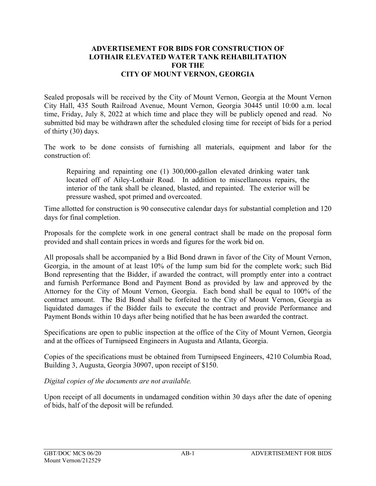## **ADVERTISEMENT FOR BIDS FOR CONSTRUCTION OF LOTHAIR ELEVATED WATER TANK REHABILITATION FOR THE CITY OF MOUNT VERNON, GEORGIA**

Sealed proposals will be received by the City of Mount Vernon, Georgia at the Mount Vernon City Hall, 435 South Railroad Avenue, Mount Vernon, Georgia 30445 until 10:00 a.m. local time, Friday, July 8, 2022 at which time and place they will be publicly opened and read. No submitted bid may be withdrawn after the scheduled closing time for receipt of bids for a period of thirty (30) days.

The work to be done consists of furnishing all materials, equipment and labor for the construction of:

Repairing and repainting one (1) 300,000-gallon elevated drinking water tank located off of Ailey-Lothair Road. In addition to miscellaneous repairs, the interior of the tank shall be cleaned, blasted, and repainted. The exterior will be pressure washed, spot primed and overcoated.

Time allotted for construction is 90 consecutive calendar days for substantial completion and 120 days for final completion.

Proposals for the complete work in one general contract shall be made on the proposal form provided and shall contain prices in words and figures for the work bid on.

All proposals shall be accompanied by a Bid Bond drawn in favor of the City of Mount Vernon, Georgia, in the amount of at least 10% of the lump sum bid for the complete work; such Bid Bond representing that the Bidder, if awarded the contract, will promptly enter into a contract and furnish Performance Bond and Payment Bond as provided by law and approved by the Attorney for the City of Mount Vernon, Georgia. Each bond shall be equal to 100% of the contract amount. The Bid Bond shall be forfeited to the City of Mount Vernon, Georgia as liquidated damages if the Bidder fails to execute the contract and provide Performance and Payment Bonds within 10 days after being notified that he has been awarded the contract.

Specifications are open to public inspection at the office of the City of Mount Vernon, Georgia and at the offices of Turnipseed Engineers in Augusta and Atlanta, Georgia.

Copies of the specifications must be obtained from Turnipseed Engineers, 4210 Columbia Road, Building 3, Augusta, Georgia 30907, upon receipt of \$150.

*Digital copies of the documents are not available.* 

Upon receipt of all documents in undamaged condition within 30 days after the date of opening of bids, half of the deposit will be refunded.